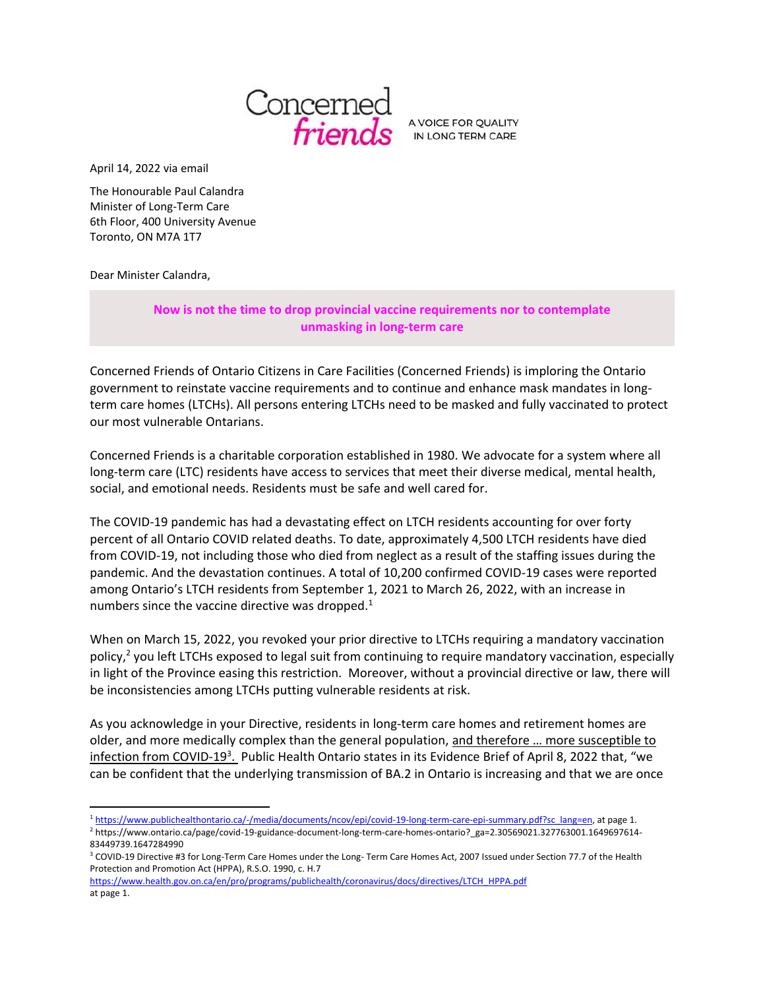

IN LONG TERM CARE

April 14, 2022 via email

The Honourable Paul Calandra Minister of Long-Term Care 6th Floor, 400 University Avenue Toronto, ON M7A 1T7

Dear Minister Calandra,

## **Now is not the time to drop provincial vaccine requirements nor to contemplate unmasking in long-term care**

Concerned Friends of Ontario Citizens in Care Facilities (Concerned Friends) is imploring the Ontario government to reinstate vaccine requirements and to continue and enhance mask mandates in longterm care homes (LTCHs). All persons entering LTCHs need to be masked and fully vaccinated to protect our most vulnerable Ontarians.

Concerned Friends is a charitable corporation established in 1980. We advocate for a system where all long-term care (LTC) residents have access to services that meet their diverse medical, mental health, social, and emotional needs. Residents must be safe and well cared for.

The COVID-19 pandemic has had a devastating effect on LTCH residents accounting for over forty percent of all Ontario COVID related deaths. To date, approximately 4,500 LTCH residents have died from COVID-19, not including those who died from neglect as a result of the staffing issues during the pandemic. And the devastation continues. A total of 10,200 confirmed COVID-19 cases were reported among Ontario's LTCH residents from September 1, 2021 to March 26, 2022, with an increase in numbers since the vaccine directive was dropped. $1$ 

When on March 15, 2022, you revoked your prior directive to LTCHs requiring a mandatory vaccination policy,<sup>2</sup> you left LTCHs exposed to legal suit from continuing to require mandatory vaccination, especially in light of the Province easing this restriction. Moreover, without a provincial directive or law, there will be inconsistencies among LTCHs putting vulnerable residents at risk.

As you acknowledge in your Directive, residents in long-term care homes and retirement homes are older, and more medically complex than the general population, and therefore … more susceptible to infection from COVID-19<sup>3</sup>. Public Health Ontario states in its Evidence Brief of April 8, 2022 that, "we can be confident that the underlying transmission of BA.2 in Ontario is increasing and that we are once

<sup>1</sup> [https://www.publichealthontario.ca/-/media/documents/ncov/epi/covid-19-long-term-care-epi-summary.pdf?sc\\_lang=en,](https://www.publichealthontario.ca/-/media/documents/ncov/epi/covid-19-long-term-care-epi-summary.pdf?sc_lang=en) at page 1.

<sup>2</sup> https://www.ontario.ca/page/covid-19-guidance-document-long-term-care-homes-ontario?\_ga=2.30569021.327763001.1649697614- 83449739.1647284990

<sup>3</sup> COVID-19 Directive #3 for Long-Term Care Homes under the Long- Term Care Homes Act, 2007 Issued under Section 77.7 of the Health Protection and Promotion Act (HPPA), R.S.O. 1990, c. H.7

[https://www.health.gov.on.ca/en/pro/programs/publichealth/coronavirus/docs/directives/LTCH\\_HPPA.pdf](https://www.health.gov.on.ca/en/pro/programs/publichealth/coronavirus/docs/directives/LTCH_HPPA.pdf) at page 1.